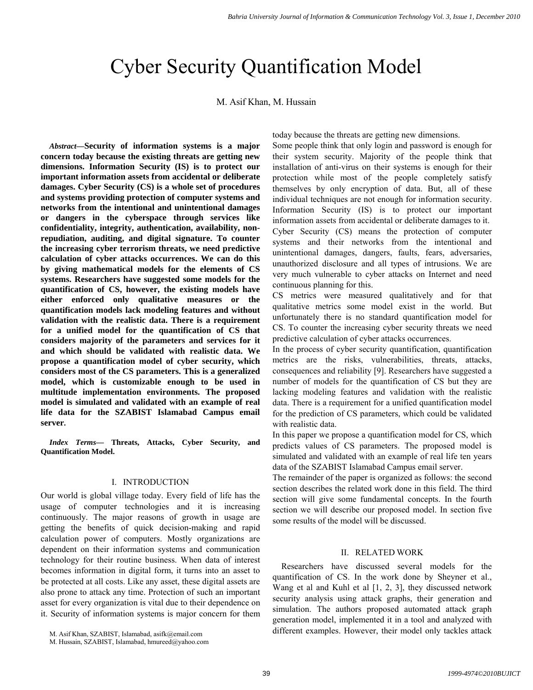# Cyber Security Quantification Model

M. Asif Khan, M. Hussain

*Abstract***—Security of information systems is a major concern today because the existing threats are getting new dimensions. Information Security (IS) is to protect our important information assets from accidental or deliberate damages. Cyber Security (CS) is a whole set of procedures and systems providing protection of computer systems and networks from the intentional and unintentional damages or dangers in the cyberspace through services like confidentiality, integrity, authentication, availability, nonrepudiation, auditing, and digital signature. To counter the increasing cyber terrorism threats, we need predictive calculation of cyber attacks occurrences. We can do this by giving mathematical models for the elements of CS systems. Researchers have suggested some models for the quantification of CS, however, the existing models have either enforced only qualitative measures or the quantification models lack modeling features and without validation with the realistic data. There is a requirement for a unified model for the quantification of CS that considers majority of the parameters and services for it and which should be validated with realistic data. We propose a quantification model of cyber security, which considers most of the CS parameters. This is a generalized model, which is customizable enough to be used in multitude implementation environments. The proposed model is simulated and validated with an example of real life data for the SZABIST Islamabad Campus email server.** 

*Index Terms***— Threats, Attacks, Cyber Security, and Quantification Model.** 

## I. INTRODUCTION

Our world is global village today. Every field of life has the usage of computer technologies and it is increasing continuously. The major reasons of growth in usage are getting the benefits of quick decision-making and rapid calculation power of computers. Mostly organizations are dependent on their information systems and communication technology for their routine business. When data of interest becomes information in digital form, it turns into an asset to be protected at all costs. Like any asset, these digital assets are also prone to attack any time. Protection of such an important asset for every organization is vital due to their dependence on it. Security of information systems is major concern for them today because the threats are getting new dimensions.

Some people think that only login and password is enough for their system security. Majority of the people think that installation of anti-virus on their systems is enough for their protection while most of the people completely satisfy themselves by only encryption of data. But, all of these individual techniques are not enough for information security. Information Security (IS) is to protect our important information assets from accidental or deliberate damages to it. Cyber Security (CS) means the protection of computer systems and their networks from the intentional and unintentional damages, dangers, faults, fears, adversaries, unauthorized disclosure and all types of intrusions. We are very much vulnerable to cyber attacks on Internet and need continuous planning for this.

CS metrics were measured qualitatively and for that qualitative metrics some model exist in the world. But unfortunately there is no standard quantification model for CS. To counter the increasing cyber security threats we need predictive calculation of cyber attacks occurrences.

In the process of cyber security quantification, quantification metrics are the risks, vulnerabilities, threats, attacks, consequences and reliability [9]. Researchers have suggested a number of models for the quantification of CS but they are lacking modeling features and validation with the realistic data. There is a requirement for a unified quantification model for the prediction of CS parameters, which could be validated with realistic data.

In this paper we propose a quantification model for CS, which predicts values of CS parameters. The proposed model is simulated and validated with an example of real life ten years data of the SZABIST Islamabad Campus email server.

The remainder of the paper is organized as follows: the second section describes the related work done in this field. The third section will give some fundamental concepts. In the fourth section we will describe our proposed model. In section five some results of the model will be discussed.

## II. RELATED WORK

Researchers have discussed several models for the quantification of CS. In the work done by Sheyner et al., Wang et al and Kuhl et al [1, 2, 3], they discussed network security analysis using attack graphs, their generation and simulation. The authors proposed automated attack graph generation model, implemented it in a tool and analyzed with different examples. However, their model only tackles attack

M. Asif Khan, SZABIST, Islamabad, asifk@email.com

M. Hussain, SZABIST, Islamabad, hmureed@yahoo.com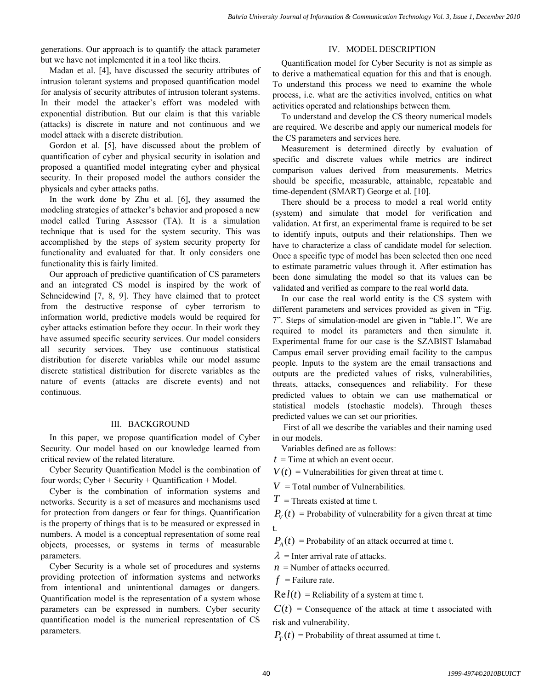generations. Our approach is to quantify the attack parameter but we have not implemented it in a tool like theirs.

# IV. MODEL DESCRIPTION

Madan et al. [4], have discussed the security attributes of intrusion tolerant systems and proposed quantification model for analysis of security attributes of intrusion tolerant systems. In their model the attacker's effort was modeled with exponential distribution. But our claim is that this variable (attacks) is discrete in nature and not continuous and we model attack with a discrete distribution.

Gordon et al. [5], have discussed about the problem of quantification of cyber and physical security in isolation and proposed a quantified model integrating cyber and physical security. In their proposed model the authors consider the physicals and cyber attacks paths.

In the work done by Zhu et al. [6], they assumed the modeling strategies of attacker's behavior and proposed a new model called Turing Assessor (TA). It is a simulation technique that is used for the system security. This was accomplished by the steps of system security property for functionality and evaluated for that. It only considers one functionality this is fairly limited.

Our approach of predictive quantification of CS parameters and an integrated CS model is inspired by the work of Schneidewind [7, 8, 9]. They have claimed that to protect from the destructive response of cyber terrorism to information world, predictive models would be required for cyber attacks estimation before they occur. In their work they have assumed specific security services. Our model considers all security services. They use continuous statistical distribution for discrete variables while our model assume discrete statistical distribution for discrete variables as the nature of events (attacks are discrete events) and not continuous.

#### III. BACKGROUND

In this paper, we propose quantification model of Cyber Security. Our model based on our knowledge learned from critical review of the related literature.

Cyber Security Quantification Model is the combination of four words;  $C$ yber + Security + Quantification + Model.

Cyber is the combination of information systems and networks. Security is a set of measures and mechanisms used for protection from dangers or fear for things. Quantification is the property of things that is to be measured or expressed in numbers. A model is a conceptual representation of some real objects, processes, or systems in terms of measurable parameters.

Cyber Security is a whole set of procedures and systems providing protection of information systems and networks from intentional and unintentional damages or dangers. Quantification model is the representation of a system whose parameters can be expressed in numbers. Cyber security quantification model is the numerical representation of CS parameters.

Quantification model for Cyber Security is not as simple as to derive a mathematical equation for this and that is enough. To understand this process we need to examine the whole process, i.e. what are the activities involved, entities on what activities operated and relationships between them.

To understand and develop the CS theory numerical models are required. We describe and apply our numerical models for the CS parameters and services here.

Measurement is determined directly by evaluation of specific and discrete values while metrics are indirect comparison values derived from measurements. Metrics should be specific, measurable, attainable, repeatable and time-dependent (SMART) George et al. [10].

There should be a process to model a real world entity (system) and simulate that model for verification and validation. At first, an experimental frame is required to be set to identify inputs, outputs and their relationships. Then we have to characterize a class of candidate model for selection. Once a specific type of model has been selected then one need to estimate parametric values through it. After estimation has been done simulating the model so that its values can be validated and verified as compare to the real world data.

In our case the real world entity is the CS system with different parameters and services provided as given in "Fig. 7". Steps of simulation-model are given in "table.1". We are required to model its parameters and then simulate it. Experimental frame for our case is the SZABIST Islamabad Campus email server providing email facility to the campus people. Inputs to the system are the email transactions and outputs are the predicted values of risks, vulnerabilities, threats, attacks, consequences and reliability. For these predicted values to obtain we can use mathematical or statistical models (stochastic models). Through theses predicted values we can set our priorities.

First of all we describe the variables and their naming used in our models.

Variables defined are as follows:

 $t =$ Time at which an event occur.

 $V(t)$  = Vulnerabilities for given threat at time t.

 $V =$ Total number of Vulnerabilities.

 $T =$ Threats existed at time t.

 $P_{V}(t)$  = Probability of vulnerability for a given threat at time t.

 $P_{A}(t)$  = Probability of an attack occurred at time t.

 $\lambda$  = Inter arrival rate of attacks.

 $n =$  Number of attacks occurred.

 $f =$ Failure rate.

 $\text{Re} l(t)$  = Reliability of a system at time t.

 $C(t)$  = Consequence of the attack at time t associated with risk and vulnerability.

 $P_T(t)$  = Probability of threat assumed at time t.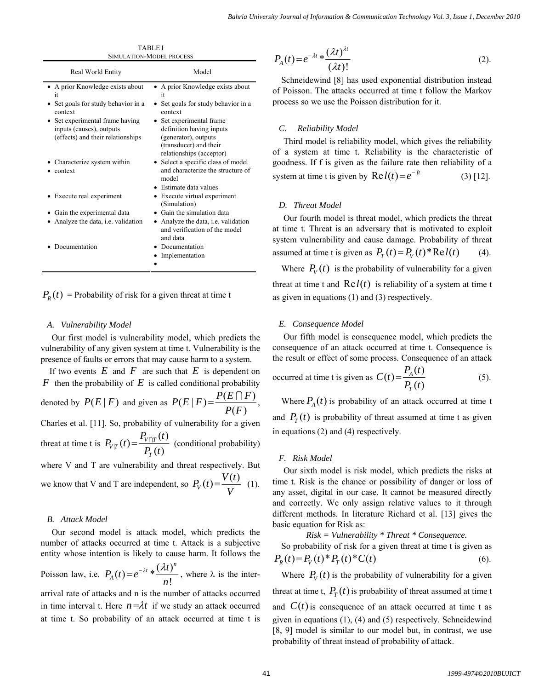| <b>TABLEI</b><br>SIMULATION-MODEL PROCESS |                                  |  |
|-------------------------------------------|----------------------------------|--|
| Real World Entity                         | Model                            |  |
| • A prior Knowledge exists about          | • A prior Knowledge exists about |  |

| it                                                                                               | it                                                                                                                                 |
|--------------------------------------------------------------------------------------------------|------------------------------------------------------------------------------------------------------------------------------------|
| Set goals for study behavior in a<br>context                                                     | Set goals for study behavior in a<br>context                                                                                       |
| • Set experimental frame having<br>inputs (causes), outputs<br>(effects) and their relationships | • Set experimental frame<br>definition having inputs<br>(generator), outputs<br>(transducer) and their<br>relationships (acceptor) |
| • Characterize system within<br>context                                                          | Select a specific class of model<br>$\bullet$<br>and characterize the structure of<br>model                                        |
| • Execute real experiment                                                                        | • Estimate data values<br>• Execute virtual experiment<br>(Simulation)                                                             |
| • Gain the experimental data                                                                     | • Gain the simulation data                                                                                                         |
| • Analyze the data, i.e. validation                                                              | Analyze the data, i.e. validation<br>and verification of the model<br>and data                                                     |
| Documentation                                                                                    | Documentation<br>Implementation                                                                                                    |

 $P_R(t)$  = Probability of risk for a given threat at time t

#### *A. Vulnerability Model*

Our first model is vulnerability model, which predicts the vulnerability of any given system at time t. Vulnerability is the presence of faults or errors that may cause harm to a system.

•

If two events *E* and *F* are such that *E* is dependent on *F* then the probability of *E* is called conditional probability denoted by  $P(E | F)$  and given as  $P(E | F) = \frac{P(E \cap F)}{P(F)}$ , Charles et al. [11]. So, probability of vulnerability for a given threat at time t is  $P_{V|T}(t) = \frac{P_{V \cap T}(t)}{P_T(t)}$ *V T T*  $P_{V \cap T}$  (t  $P_{V|T}(t) = \frac{P_{V|T}(t)}{P_T(t)}$  (conditional probability) where V and T are vulnerability and threat respectively. But

we know that V and T are independent, so  $P_V(t) = \frac{V(t)}{V}$  (1).

#### *B. Attack Model*

Our second model is attack model, which predicts the number of attacks occurred at time t. Attack is a subjective entity whose intention is likely to cause harm. It follows the Poisson law, i.e.  $P_A(t) = e^{-\lambda t} * \frac{(\lambda t)}{\lambda}$ !  $\mathcal{L}_{t, \ast}(\lambda t)^n$  $P_{A}(t) = e^{-\lambda t} * \frac{(\lambda t)^{2}}{2}$ *n*  $=e^{-\lambda t}*\frac{(\lambda t)^n}{\lambda}$ , where  $\lambda$  is the interarrival rate of attacks and n is the number of attacks occurred in time interval t. Here  $n = \lambda t$  if we study an attack occurred at time t. So probability of an attack occurred at time t is

$$
P_A(t) = e^{-\lambda t} * \frac{(\lambda t)^{\lambda t}}{(\lambda t)!}
$$
 (2).

Schneidewind [8] has used exponential distribution instead of Poisson. The attacks occurred at time t follow the Markov process so we use the Poisson distribution for it.

## *C. Reliability Model*

Third model is reliability model, which gives the reliability of a system at time t. Reliability is the characteristic of goodness. If f is given as the failure rate then reliability of a system at time t is given by  $\text{Re} l(t) = e^{-ft}$  (3) [12].

#### *D. Threat Model*

Our fourth model is threat model, which predicts the threat at time t. Threat is an adversary that is motivated to exploit system vulnerability and cause damage. Probability of threat assumed at time t is given as  $P_T(t) = P_V(t)^* \text{Re} l(t)$  (4).

Where  $P_{V}(t)$  is the probability of vulnerability for a given threat at time t and  $\text{Re} l(t)$  is reliability of a system at time t as given in equations (1) and (3) respectively.

### *E. Consequence Model*

Our fifth model is consequence model, which predicts the consequence of an attack occurred at time t. Consequence is the result or effect of some process. Consequence of an attack

occurred at time t is given as 
$$
C(t) = \frac{P_A(t)}{P_T(t)}
$$
 (5).

Where  $P_A(t)$  is probability of an attack occurred at time t and  $P_T(t)$  is probability of threat assumed at time t as given in equations (2) and (4) respectively.

## *F. Risk Model*

Our sixth model is risk model, which predicts the risks at time t. Risk is the chance or possibility of danger or loss of any asset, digital in our case. It cannot be measured directly and correctly. We only assign relative values to it through different methods. In literature Richard et al. [13] gives the basic equation for Risk as:

*Risk = Vulnerability \* Threat \* Consequence.* 

So probability of risk for a given threat at time t is given as  $P_{R}(t) = P_{V}(t) * P_{T}(t) * C(t)$  (6).

Where  $P_V(t)$  is the probability of vulnerability for a given threat at time t,  $P_T(t)$  is probability of threat assumed at time t and  $C(t)$  is consequence of an attack occurred at time t as given in equations (1), (4) and (5) respectively. Schneidewind [8, 9] model is similar to our model but, in contrast, we use probability of threat instead of probability of attack.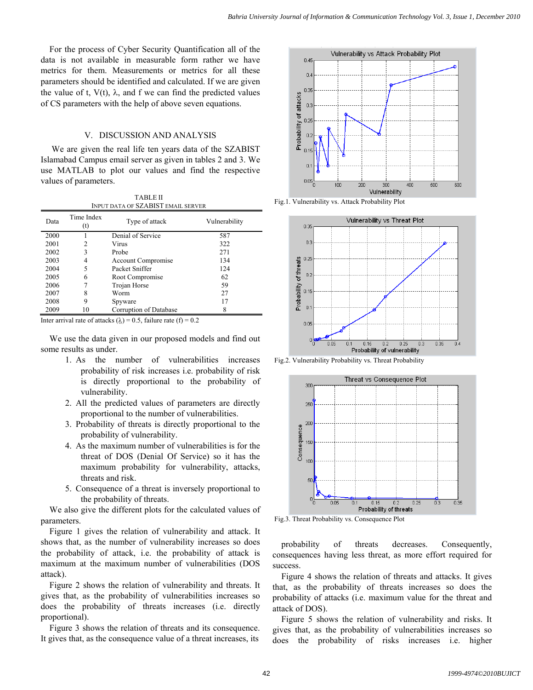For the process of Cyber Security Quantification all of the data is not available in measurable form rather we have metrics for them. Measurements or metrics for all these parameters should be identified and calculated. If we are given the value of t,  $V(t)$ ,  $\lambda$ , and f we can find the predicted values of CS parameters with the help of above seven equations.

### V. DISCUSSION AND ANALYSIS

We are given the real life ten years data of the SZABIST Islamabad Campus email server as given in tables 2 and 3. We use MATLAB to plot our values and find the respective values of parameters.

TABLE II INPUT DATA OF SZABIST EMAIL SERVER

| Data | Time Index<br>(t) | Type of attack         | Vulnerability |
|------|-------------------|------------------------|---------------|
| 2000 |                   | Denial of Service      | 587           |
| 2001 | 2                 | Virus                  | 322           |
| 2002 | 3                 | Probe                  | 271           |
| 2003 | 4                 | Account Compromise     | 134           |
| 2004 | 5                 | Packet Sniffer         | 124           |
| 2005 | 6                 | Root Compromise        | 62            |
| 2006 |                   | Trojan Horse           | 59            |
| 2007 | 8                 | Worm                   | 27            |
| 2008 | 9                 | Spyware                | 17            |
| 2009 | 10                | Corruption of Database | 8             |

Inter arrival rate of attacks  $(\lambda) = 0.5$ , failure rate (f) = 0.2

We use the data given in our proposed models and find out some results as under.

- 1. As the number of vulnerabilities increases probability of risk increases i.e. probability of risk is directly proportional to the probability of vulnerability.
- 2. All the predicted values of parameters are directly proportional to the number of vulnerabilities.
- 3. Probability of threats is directly proportional to the probability of vulnerability.
- 4. As the maximum number of vulnerabilities is for the threat of DOS (Denial Of Service) so it has the maximum probability for vulnerability, attacks, threats and risk.
- 5. Consequence of a threat is inversely proportional to the probability of threats.

We also give the different plots for the calculated values of parameters.

Figure 1 gives the relation of vulnerability and attack. It shows that, as the number of vulnerability increases so does the probability of attack, i.e. the probability of attack is maximum at the maximum number of vulnerabilities (DOS attack).

Figure 2 shows the relation of vulnerability and threats. It gives that, as the probability of vulnerabilities increases so does the probability of threats increases (i.e. directly proportional).

Figure 3 shows the relation of threats and its consequence. It gives that, as the consequence value of a threat increases, its



Fig.1. Vulnerability vs. Attack Probability Plot



Fig.2. Vulnerability Probability vs. Threat Probability



Fig.3. Threat Probability vs. Consequence Plot

probability of threats decreases. Consequently, consequences having less threat, as more effort required for success.

Figure 4 shows the relation of threats and attacks. It gives that, as the probability of threats increases so does the probability of attacks (i.e. maximum value for the threat and attack of DOS).

Figure 5 shows the relation of vulnerability and risks. It gives that, as the probability of vulnerabilities increases so does the probability of risks increases i.e. higher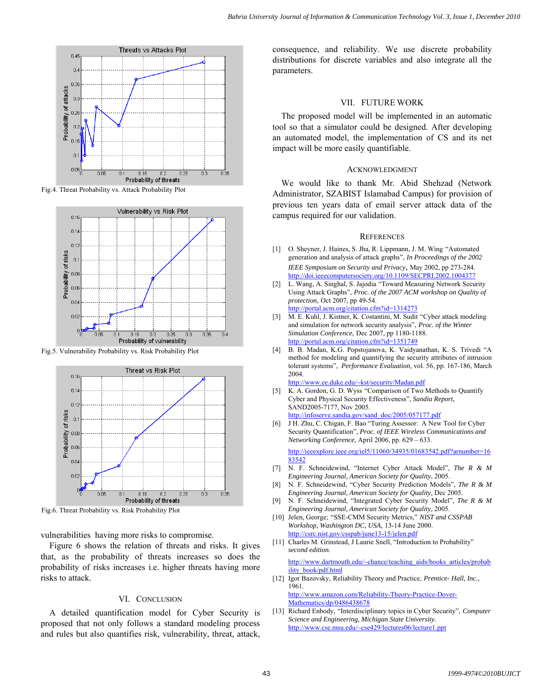

Fig.4. Threat Probability vs. Attack Probability Plot



Fig.5. Vulnerability Probability vs. Risk Probability Plot



Fig.6. Threat Probability vs. Risk Probability Plot

vulnerabilities having more risks to compromise.

Figure 6 shows the relation of threats and risks. It gives that, as the probability of threats increases so does the probability of risks increases i.e. higher threats having more risks to attack.

## VI. CONCLUSION

A detailed quantification model for Cyber Security is proposed that not only follows a standard modeling process and rules but also quantifies risk, vulnerability, threat, attack,

consequence, and reliability. We use discrete probability distributions for discrete variables and also integrate all the parameters.

## VII. FUTURE WORK

The proposed model will be implemented in an automatic tool so that a simulator could be designed. After developing an automated model, the implementation of CS and its net impact will be more easily quantifiable.

#### ACKNOWLEDGMENT

We would like to thank Mr. Abid Shehzad (Network Administrator, SZABIST Islamabad Campus) for provision of previous ten years data of email server attack data of the campus required for our validation.

#### **REFERENCES**

- [1] O. Sheyner, J. Haines, S. Jha, R. Lippmann, J. M. Wing "Automated generation and analysis of attack graphs", *In Proceedings of the 2002 IEEE Symposium on Security and Privacy*, May 2002, pp 273-284. http://doi.ieeecomputersociety.org/10.1109/SECPRI.2002.1004377
- [2] L. Wang, A. Singhal, S. Jajodia "Toward Measuring Network Security Using Attack Graphs", *Proc. of the 2007 ACM workshop on Quality of protection,* Oct 2007, pp 49-54. http://portal.acm.org/citation.cfm?id=1314273
- [3] M. E. Kuhl, J. Kistner, K. Costantini, M. Sudit "Cyber attack modeling and simulation for network security analysis", *Proc. of the Winter Simulation Conference,* Dec 2007, pp 1180-1188. http://portal.acm.org/citation.cfm?id=1351749
- [4] B. B. Madan, K.G. Popstojanova, K. Vaidyanathan, K. S. Trivedi "A method for modeling and quantifying the security attributes of intrusion tolerant systems", *Performance Evaluation,* vol. 56, pp. 167-186, March 2004. http://www.ee.duke.edu/~kst/security/Madan.pdf
- [5] K. A. Gordon, G. D. Wyss "Comparison of Two Methods to Quantify Cyber and Physical Security Effectiveness", *Sandia Report,* SAND2005-7177, Nov 2005. http://infoserve.sandia.gov/sand\_doc/2005/057177.pdf
- [6] J H. Zhu, C. Chigan, F. Bao "Turing Assessor: A New Tool for Cyber Security Quantification", *Proc. of IEEE Wireless Communications and Networking Conference,* April 2006, pp. 629 – 633.

http://ieeexplore.ieee.org/iel5/11060/34935/01683542.pdf?arnumber=16 83542

- [7] N. F. Schneidewind, "Internet Cyber Attack Model", *The R & M Engineering Journal, American Society for Quality*, 2005.
- [8] N. F. Schneidewind, "Cyber Security Prediction Models", *The R & M Engineering Journal, American Society for Quality,* Dec 2005.
- [9] N. F. Schneidewind, "Integrated Cyber Security Model", *The R & M Engineering Journal, American Society for Quality,* 2005.
- [10] Jelen, George; "SSE-CMM Security Metrics," *NIST and CSSPAB Workshop, Washington DC, USA,* 13-14 June 2000. http://csrc.nist.gov/csspab/june13-15/jelen.pdf
- [11] Charles M. Grinstead, J Laurie Snell, "Introduction to Probability" *second edition.*

http://www.dartmouth.edu/~chance/teaching\_aids/books\_articles/probab ility\_book/pdf.html

- [12] Igor Bazovsky, Reliability Theory and Practice, *Prentice- Hall, Inc.,* 1961. http://www.amazon.com/Reliability-Theory-Practice-Dover-Mathematics/dp/0486438678
- [13] Richard Enbody, "Interdisciplinary topics in Cyber Security", *Computer Science and Engineering, Michigan State University.* http://www.cse.msu.edu/~cse429/lectures06/lecture1.ppt